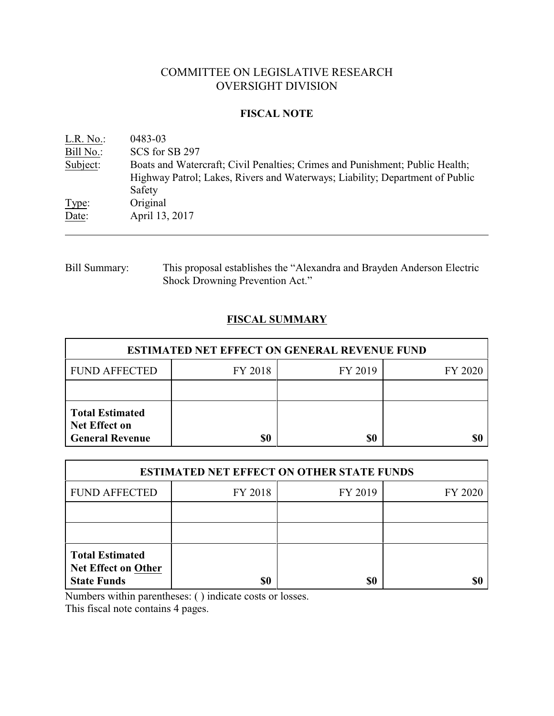# COMMITTEE ON LEGISLATIVE RESEARCH OVERSIGHT DIVISION

# **FISCAL NOTE**

| $L.R. No.$ : | 0483-03                                                                                                                                                                |
|--------------|------------------------------------------------------------------------------------------------------------------------------------------------------------------------|
| Bill No.:    | SCS for SB 297                                                                                                                                                         |
| Subject:     | Boats and Watercraft; Civil Penalties; Crimes and Punishment; Public Health;<br>Highway Patrol; Lakes, Rivers and Waterways; Liability; Department of Public<br>Safety |
| Type:        | Original                                                                                                                                                               |
| Date:        | April 13, 2017                                                                                                                                                         |

Bill Summary: This proposal establishes the "Alexandra and Brayden Anderson Electric Shock Drowning Prevention Act."

# **FISCAL SUMMARY**

| <b>ESTIMATED NET EFFECT ON GENERAL REVENUE FUND</b>                      |         |         |         |  |  |
|--------------------------------------------------------------------------|---------|---------|---------|--|--|
| <b>FUND AFFECTED</b>                                                     | FY 2018 | FY 2019 | FY 2020 |  |  |
|                                                                          |         |         |         |  |  |
| <b>Total Estimated</b><br><b>Net Effect on</b><br><b>General Revenue</b> | \$0     | \$0     |         |  |  |

| <b>ESTIMATED NET EFFECT ON OTHER STATE FUNDS</b>                           |         |         |         |  |
|----------------------------------------------------------------------------|---------|---------|---------|--|
| <b>FUND AFFECTED</b>                                                       | FY 2018 | FY 2019 | FY 2020 |  |
|                                                                            |         |         |         |  |
|                                                                            |         |         |         |  |
| <b>Total Estimated</b><br><b>Net Effect on Other</b><br><b>State Funds</b> | \$0     | \$0     |         |  |

Numbers within parentheses: ( ) indicate costs or losses.

This fiscal note contains 4 pages.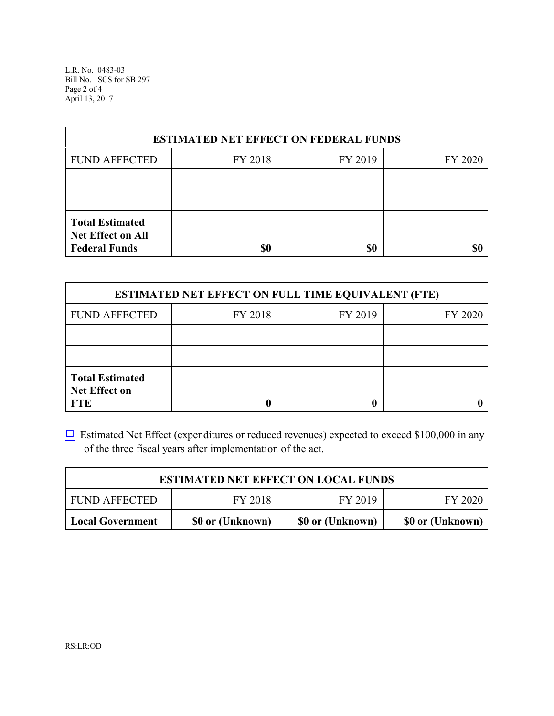L.R. No. 0483-03 Bill No. SCS for SB 297 Page 2 of 4 April 13, 2017

| <b>ESTIMATED NET EFFECT ON FEDERAL FUNDS</b>                        |         |         |         |  |  |
|---------------------------------------------------------------------|---------|---------|---------|--|--|
| <b>FUND AFFECTED</b>                                                | FY 2018 | FY 2019 | FY 2020 |  |  |
|                                                                     |         |         |         |  |  |
|                                                                     |         |         |         |  |  |
| <b>Total Estimated</b><br>Net Effect on All<br><b>Federal Funds</b> | \$0     | \$0     | \$0     |  |  |

| <b>ESTIMATED NET EFFECT ON FULL TIME EQUIVALENT (FTE)</b>    |         |         |         |  |
|--------------------------------------------------------------|---------|---------|---------|--|
| <b>FUND AFFECTED</b>                                         | FY 2018 | FY 2019 | FY 2020 |  |
|                                                              |         |         |         |  |
|                                                              |         |         |         |  |
| <b>Total Estimated</b><br><b>Net Effect on</b><br><b>FTE</b> |         |         |         |  |

 $\Box$  Estimated Net Effect (expenditures or reduced revenues) expected to exceed \$100,000 in any of the three fiscal years after implementation of the act.

| <b>ESTIMATED NET EFFECT ON LOCAL FUNDS</b> |                  |                  |                  |  |
|--------------------------------------------|------------------|------------------|------------------|--|
| <b>FUND AFFECTED</b>                       | FY 2018          | FY 2019          | FY 2020          |  |
| <b>Local Government</b>                    | \$0 or (Unknown) | \$0 or (Unknown) | \$0 or (Unknown) |  |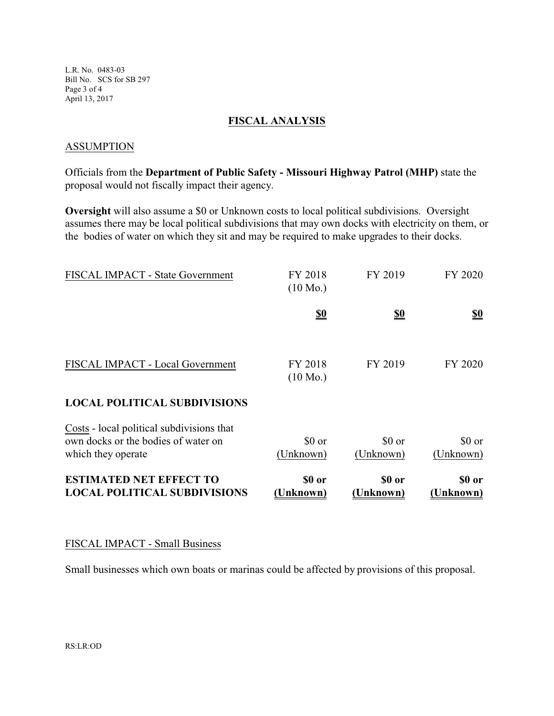L.R. No. 0483-03 Bill No. SCS for SB 297 Page 3 of 4 April 13, 2017

#### **FISCAL ANALYSIS**

#### **ASSUMPTION**

Officials from the **Department of Public Safety - Missouri Highway Patrol (MHP)** state the proposal would not fiscally impact their agency.

**Oversight** will also assume a \$0 or Unknown costs to local political subdivisions. Oversight assumes there may be local political subdivisions that may own docks with electricity on them, or the bodies of water on which they sit and may be required to make upgrades to their docks.

| <b>FISCAL IMPACT - State Government</b>                                                                | FY 2018<br>$(10 \text{ Mo.})$ | FY 2019             | FY 2020             |
|--------------------------------------------------------------------------------------------------------|-------------------------------|---------------------|---------------------|
|                                                                                                        | <u>\$0</u>                    | <u>\$0</u>          | <u>\$0</u>          |
| FISCAL IMPACT - Local Government                                                                       | FY 2018<br>$(10 \text{ Mo.})$ | FY 2019             | FY 2020             |
| <b>LOCAL POLITICAL SUBDIVISIONS</b>                                                                    |                               |                     |                     |
| Costs - local political subdivisions that<br>own docks or the bodies of water on<br>which they operate | \$0 or<br>(Unknown)           | \$0 or<br>(Unknown) | \$0 or<br>(Unknown) |
| <b>ESTIMATED NET EFFECT TO</b><br><b>LOCAL POLITICAL SUBDIVISIONS</b>                                  | \$0 or<br>(Unknown)           | \$0 or<br>(Unknown) | \$0 or<br>(Unknown) |

# FISCAL IMPACT - Small Business

Small businesses which own boats or marinas could be affected by provisions of this proposal.